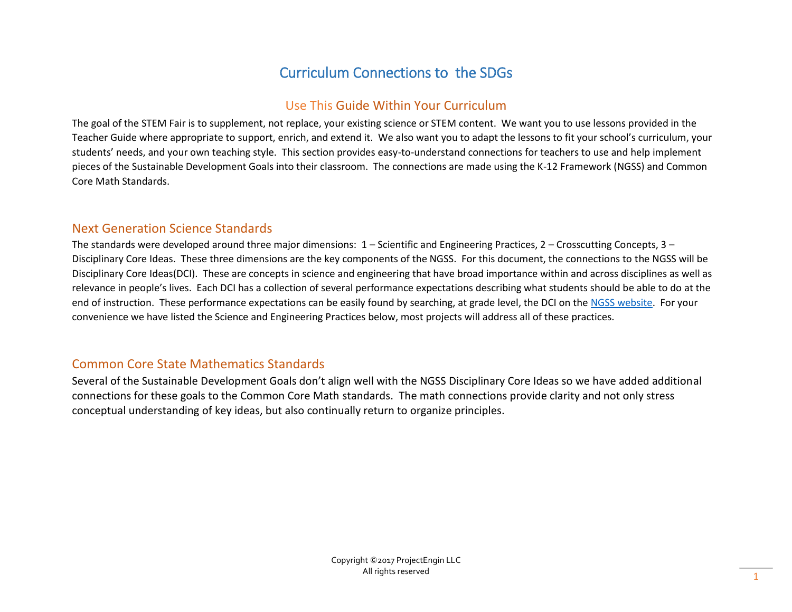# Curriculum Connections to the SDGs

## Use This Guide Within Your Curriculum

The goal of the STEM Fair is to supplement, not replace, your existing science or STEM content. We want you to use lessons provided in the Teacher Guide where appropriate to support, enrich, and extend it. We also want you to adapt the lessons to fit your school's curriculum, your students' needs, and your own teaching style. This section provides easy-to-understand connections for teachers to use and help implement pieces of the Sustainable Development Goals into their classroom. The connections are made using the K-12 Framework (NGSS) and Common Core Math Standards.

### Next Generation Science Standards

The standards were developed around three major dimensions: 1 – Scientific and Engineering Practices, 2 – Crosscutting Concepts, 3 – Disciplinary Core Ideas. These three dimensions are the key components of the NGSS. For this document, the connections to the NGSS will be Disciplinary Core Ideas(DCI). These are concepts in science and engineering that have broad importance within and across disciplines as well as relevance in people's lives. Each DCI has a collection of several performance expectations describing what students should be able to do at the end of instruction. These performance expectations can be easily found by searching, at grade level, the DCI on th[e NGSS website.](https://www.nextgenscience.org/) For your convenience we have listed the Science and Engineering Practices below, most projects will address all of these practices.

### Common Core State Mathematics Standards

Several of the Sustainable Development Goals don't align well with the NGSS Disciplinary Core Ideas so we have added additional connections for these goals to the Common Core Math standards. The math connections provide clarity and not only stress conceptual understanding of key ideas, but also continually return to organize principles.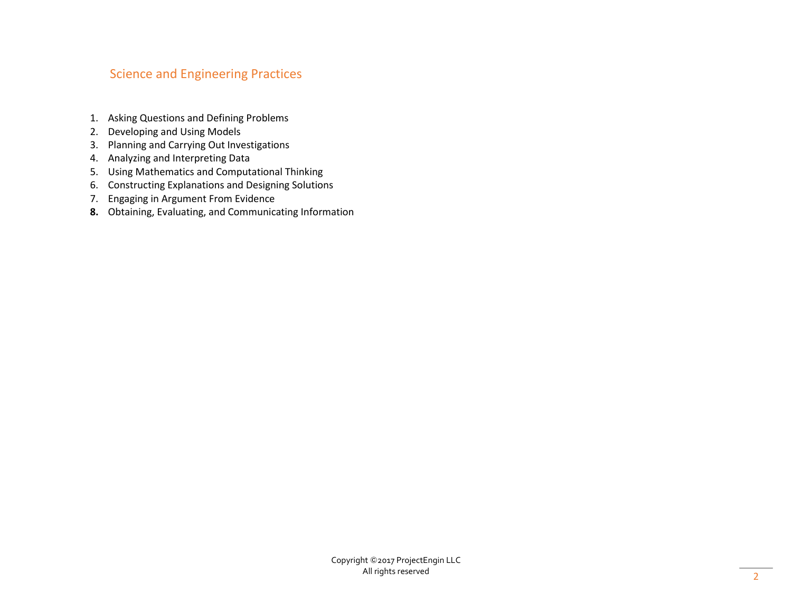### Science and Engineering Practices

- 1. Asking Questions and Defining Problems
- 2. Developing and Using Models
- 3. Planning and Carrying Out Investigations
- 4. Analyzing and Interpreting Data
- 5. Using Mathematics and Computational Thinking
- 6. Constructing Explanations and Designing Solutions
- 7. Engaging in Argument From Evidence
- **8.** Obtaining, Evaluating, and Communicating Information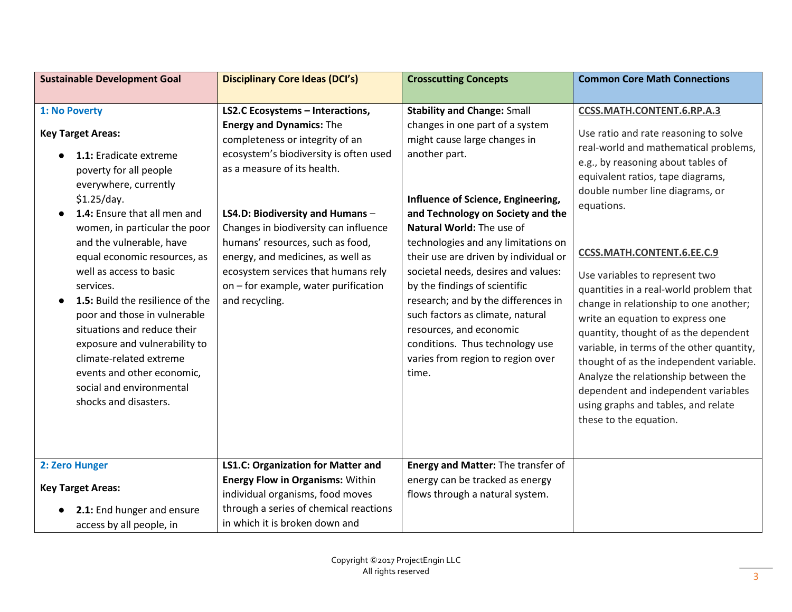| <b>Sustainable Development Goal</b>                                                                                                                                                                                                                                                                                                                                                                                                                                                                                                                          | <b>Disciplinary Core Ideas (DCI's)</b>                                                                                                                                                                                                                                                                                                                                                                                                        | <b>Crosscutting Concepts</b>                                                                                                                                                                                                                                                                                                                                                                                                                                                                                                                                                  | <b>Common Core Math Connections</b>                                                                                                                                                                                                                                                                                                                                                                                                                                                                                                                                                                                                                                                                                       |
|--------------------------------------------------------------------------------------------------------------------------------------------------------------------------------------------------------------------------------------------------------------------------------------------------------------------------------------------------------------------------------------------------------------------------------------------------------------------------------------------------------------------------------------------------------------|-----------------------------------------------------------------------------------------------------------------------------------------------------------------------------------------------------------------------------------------------------------------------------------------------------------------------------------------------------------------------------------------------------------------------------------------------|-------------------------------------------------------------------------------------------------------------------------------------------------------------------------------------------------------------------------------------------------------------------------------------------------------------------------------------------------------------------------------------------------------------------------------------------------------------------------------------------------------------------------------------------------------------------------------|---------------------------------------------------------------------------------------------------------------------------------------------------------------------------------------------------------------------------------------------------------------------------------------------------------------------------------------------------------------------------------------------------------------------------------------------------------------------------------------------------------------------------------------------------------------------------------------------------------------------------------------------------------------------------------------------------------------------------|
|                                                                                                                                                                                                                                                                                                                                                                                                                                                                                                                                                              |                                                                                                                                                                                                                                                                                                                                                                                                                                               |                                                                                                                                                                                                                                                                                                                                                                                                                                                                                                                                                                               |                                                                                                                                                                                                                                                                                                                                                                                                                                                                                                                                                                                                                                                                                                                           |
| 1: No Poverty<br><b>Key Target Areas:</b><br>1.1: Eradicate extreme<br>poverty for all people<br>everywhere, currently<br>\$1.25/day.<br>1.4: Ensure that all men and<br>women, in particular the poor<br>and the vulnerable, have<br>equal economic resources, as<br>well as access to basic<br>services.<br>1.5: Build the resilience of the<br>poor and those in vulnerable<br>situations and reduce their<br>exposure and vulnerability to<br>climate-related extreme<br>events and other economic,<br>social and environmental<br>shocks and disasters. | <b>LS2.C Ecosystems - Interactions,</b><br><b>Energy and Dynamics: The</b><br>completeness or integrity of an<br>ecosystem's biodiversity is often used<br>as a measure of its health.<br>LS4.D: Biodiversity and Humans -<br>Changes in biodiversity can influence<br>humans' resources, such as food,<br>energy, and medicines, as well as<br>ecosystem services that humans rely<br>on - for example, water purification<br>and recycling. | <b>Stability and Change: Small</b><br>changes in one part of a system<br>might cause large changes in<br>another part.<br>Influence of Science, Engineering,<br>and Technology on Society and the<br>Natural World: The use of<br>technologies and any limitations on<br>their use are driven by individual or<br>societal needs, desires and values:<br>by the findings of scientific<br>research; and by the differences in<br>such factors as climate, natural<br>resources, and economic<br>conditions. Thus technology use<br>varies from region to region over<br>time. | <b>CCSS.MATH.CONTENT.6.RP.A.3</b><br>Use ratio and rate reasoning to solve<br>real-world and mathematical problems,<br>e.g., by reasoning about tables of<br>equivalent ratios, tape diagrams,<br>double number line diagrams, or<br>equations.<br>CCSS.MATH.CONTENT.6.EE.C.9<br>Use variables to represent two<br>quantities in a real-world problem that<br>change in relationship to one another;<br>write an equation to express one<br>quantity, thought of as the dependent<br>variable, in terms of the other quantity,<br>thought of as the independent variable.<br>Analyze the relationship between the<br>dependent and independent variables<br>using graphs and tables, and relate<br>these to the equation. |
| 2: Zero Hunger                                                                                                                                                                                                                                                                                                                                                                                                                                                                                                                                               | <b>LS1.C: Organization for Matter and</b><br><b>Energy Flow in Organisms: Within</b>                                                                                                                                                                                                                                                                                                                                                          | Energy and Matter: The transfer of<br>energy can be tracked as energy                                                                                                                                                                                                                                                                                                                                                                                                                                                                                                         |                                                                                                                                                                                                                                                                                                                                                                                                                                                                                                                                                                                                                                                                                                                           |
| <b>Key Target Areas:</b>                                                                                                                                                                                                                                                                                                                                                                                                                                                                                                                                     | individual organisms, food moves                                                                                                                                                                                                                                                                                                                                                                                                              | flows through a natural system.                                                                                                                                                                                                                                                                                                                                                                                                                                                                                                                                               |                                                                                                                                                                                                                                                                                                                                                                                                                                                                                                                                                                                                                                                                                                                           |
| 2.1: End hunger and ensure<br>access by all people, in                                                                                                                                                                                                                                                                                                                                                                                                                                                                                                       | through a series of chemical reactions<br>in which it is broken down and                                                                                                                                                                                                                                                                                                                                                                      |                                                                                                                                                                                                                                                                                                                                                                                                                                                                                                                                                                               |                                                                                                                                                                                                                                                                                                                                                                                                                                                                                                                                                                                                                                                                                                                           |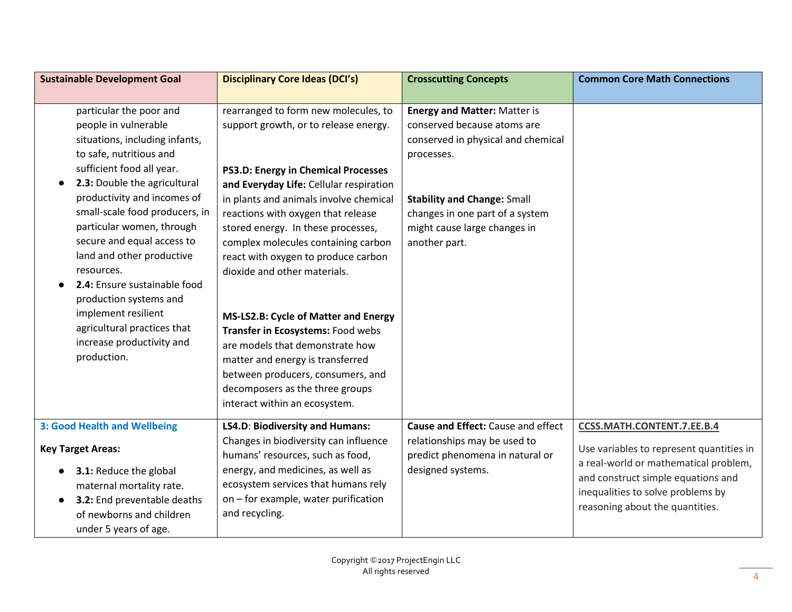| <b>Sustainable Development Goal</b>                                                                                                                                                                                                                                                                                                                                                                                                                                                                          | <b>Disciplinary Core Ideas (DCI's)</b>                                                                                                                                                                                                                                                                                                                                                                                                                                                                                                                                                                                                                           | <b>Crosscutting Concepts</b>                                                                                                                                                                                                                     | <b>Common Core Math Connections</b>                                                                                                                                                                                           |
|--------------------------------------------------------------------------------------------------------------------------------------------------------------------------------------------------------------------------------------------------------------------------------------------------------------------------------------------------------------------------------------------------------------------------------------------------------------------------------------------------------------|------------------------------------------------------------------------------------------------------------------------------------------------------------------------------------------------------------------------------------------------------------------------------------------------------------------------------------------------------------------------------------------------------------------------------------------------------------------------------------------------------------------------------------------------------------------------------------------------------------------------------------------------------------------|--------------------------------------------------------------------------------------------------------------------------------------------------------------------------------------------------------------------------------------------------|-------------------------------------------------------------------------------------------------------------------------------------------------------------------------------------------------------------------------------|
|                                                                                                                                                                                                                                                                                                                                                                                                                                                                                                              |                                                                                                                                                                                                                                                                                                                                                                                                                                                                                                                                                                                                                                                                  |                                                                                                                                                                                                                                                  |                                                                                                                                                                                                                               |
| particular the poor and<br>people in vulnerable<br>situations, including infants,<br>to safe, nutritious and<br>sufficient food all year.<br>2.3: Double the agricultural<br>productivity and incomes of<br>small-scale food producers, in<br>particular women, through<br>secure and equal access to<br>land and other productive<br>resources.<br>2.4: Ensure sustainable food<br>production systems and<br>implement resilient<br>agricultural practices that<br>increase productivity and<br>production. | rearranged to form new molecules, to<br>support growth, or to release energy.<br>PS3.D: Energy in Chemical Processes<br>and Everyday Life: Cellular respiration<br>in plants and animals involve chemical<br>reactions with oxygen that release<br>stored energy. In these processes,<br>complex molecules containing carbon<br>react with oxygen to produce carbon<br>dioxide and other materials.<br>MS-LS2.B: Cycle of Matter and Energy<br>Transfer in Ecosystems: Food webs<br>are models that demonstrate how<br>matter and energy is transferred<br>between producers, consumers, and<br>decomposers as the three groups<br>interact within an ecosystem. | <b>Energy and Matter: Matter is</b><br>conserved because atoms are<br>conserved in physical and chemical<br>processes.<br><b>Stability and Change: Small</b><br>changes in one part of a system<br>might cause large changes in<br>another part. |                                                                                                                                                                                                                               |
| <b>3: Good Health and Wellbeing</b><br><b>Key Target Areas:</b><br>3.1: Reduce the global<br>maternal mortality rate.<br>3.2: End preventable deaths<br>of newborns and children<br>under 5 years of age.                                                                                                                                                                                                                                                                                                    | <b>LS4.D: Biodiversity and Humans:</b><br>Changes in biodiversity can influence<br>humans' resources, such as food,<br>energy, and medicines, as well as<br>ecosystem services that humans rely<br>on - for example, water purification<br>and recycling.                                                                                                                                                                                                                                                                                                                                                                                                        | Cause and Effect: Cause and effect<br>relationships may be used to<br>predict phenomena in natural or<br>designed systems.                                                                                                                       | CCSS.MATH.CONTENT.7.EE.B.4<br>Use variables to represent quantities in<br>a real-world or mathematical problem,<br>and construct simple equations and<br>inequalities to solve problems by<br>reasoning about the quantities. |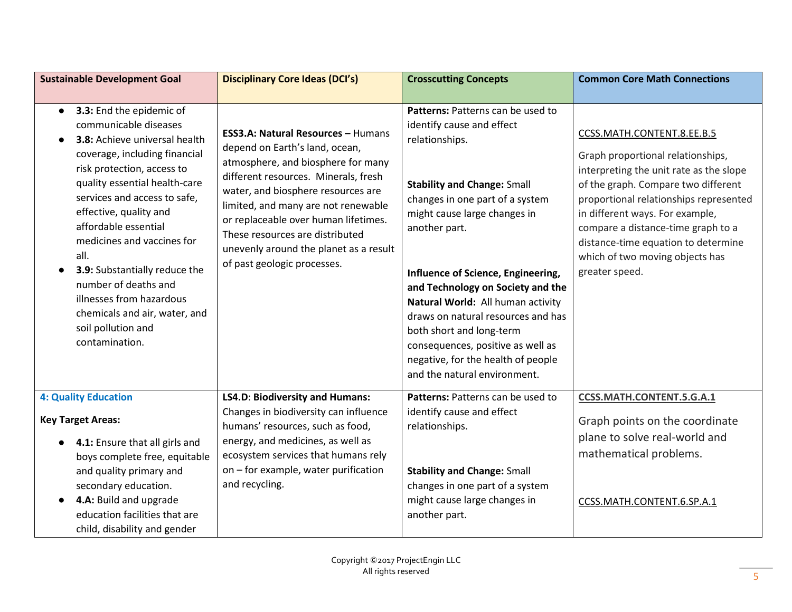| <b>Sustainable Development Goal</b>                                                                                                                                                                                                                                                                                                                                                                                                                                                   | <b>Disciplinary Core Ideas (DCI's)</b>                                                                                                                                                                                                                                                                                                                                              | <b>Crosscutting Concepts</b>                                                                                                                                                                                                                                                                                                                                                                                                                                                                            | <b>Common Core Math Connections</b>                                                                                                                                                                                                                                                                                                                              |
|---------------------------------------------------------------------------------------------------------------------------------------------------------------------------------------------------------------------------------------------------------------------------------------------------------------------------------------------------------------------------------------------------------------------------------------------------------------------------------------|-------------------------------------------------------------------------------------------------------------------------------------------------------------------------------------------------------------------------------------------------------------------------------------------------------------------------------------------------------------------------------------|---------------------------------------------------------------------------------------------------------------------------------------------------------------------------------------------------------------------------------------------------------------------------------------------------------------------------------------------------------------------------------------------------------------------------------------------------------------------------------------------------------|------------------------------------------------------------------------------------------------------------------------------------------------------------------------------------------------------------------------------------------------------------------------------------------------------------------------------------------------------------------|
|                                                                                                                                                                                                                                                                                                                                                                                                                                                                                       |                                                                                                                                                                                                                                                                                                                                                                                     |                                                                                                                                                                                                                                                                                                                                                                                                                                                                                                         |                                                                                                                                                                                                                                                                                                                                                                  |
| 3.3: End the epidemic of<br>$\bullet$<br>communicable diseases<br>3.8: Achieve universal health<br>coverage, including financial<br>risk protection, access to<br>quality essential health-care<br>services and access to safe,<br>effective, quality and<br>affordable essential<br>medicines and vaccines for<br>all.<br>3.9: Substantially reduce the<br>number of deaths and<br>illnesses from hazardous<br>chemicals and air, water, and<br>soil pollution and<br>contamination. | ESS3.A: Natural Resources - Humans<br>depend on Earth's land, ocean,<br>atmosphere, and biosphere for many<br>different resources. Minerals, fresh<br>water, and biosphere resources are<br>limited, and many are not renewable<br>or replaceable over human lifetimes.<br>These resources are distributed<br>unevenly around the planet as a result<br>of past geologic processes. | Patterns: Patterns can be used to<br>identify cause and effect<br>relationships.<br><b>Stability and Change: Small</b><br>changes in one part of a system<br>might cause large changes in<br>another part.<br>Influence of Science, Engineering,<br>and Technology on Society and the<br>Natural World: All human activity<br>draws on natural resources and has<br>both short and long-term<br>consequences, positive as well as<br>negative, for the health of people<br>and the natural environment. | CCSS.MATH.CONTENT.8.EE.B.5<br>Graph proportional relationships,<br>interpreting the unit rate as the slope<br>of the graph. Compare two different<br>proportional relationships represented<br>in different ways. For example,<br>compare a distance-time graph to a<br>distance-time equation to determine<br>which of two moving objects has<br>greater speed. |
| <b>4: Quality Education</b><br><b>Key Target Areas:</b><br>4.1: Ensure that all girls and                                                                                                                                                                                                                                                                                                                                                                                             | <b>LS4.D: Biodiversity and Humans:</b><br>Changes in biodiversity can influence<br>humans' resources, such as food,<br>energy, and medicines, as well as                                                                                                                                                                                                                            | Patterns: Patterns can be used to<br>identify cause and effect<br>relationships.                                                                                                                                                                                                                                                                                                                                                                                                                        | CCSS.MATH.CONTENT.5.G.A.1<br>Graph points on the coordinate<br>plane to solve real-world and                                                                                                                                                                                                                                                                     |
| boys complete free, equitable<br>and quality primary and<br>secondary education.<br>4.A: Build and upgrade<br>education facilities that are<br>child, disability and gender                                                                                                                                                                                                                                                                                                           | ecosystem services that humans rely<br>on - for example, water purification<br>and recycling.                                                                                                                                                                                                                                                                                       | <b>Stability and Change: Small</b><br>changes in one part of a system<br>might cause large changes in<br>another part.                                                                                                                                                                                                                                                                                                                                                                                  | mathematical problems.<br>CCSS.MATH.CONTENT.6.SP.A.1                                                                                                                                                                                                                                                                                                             |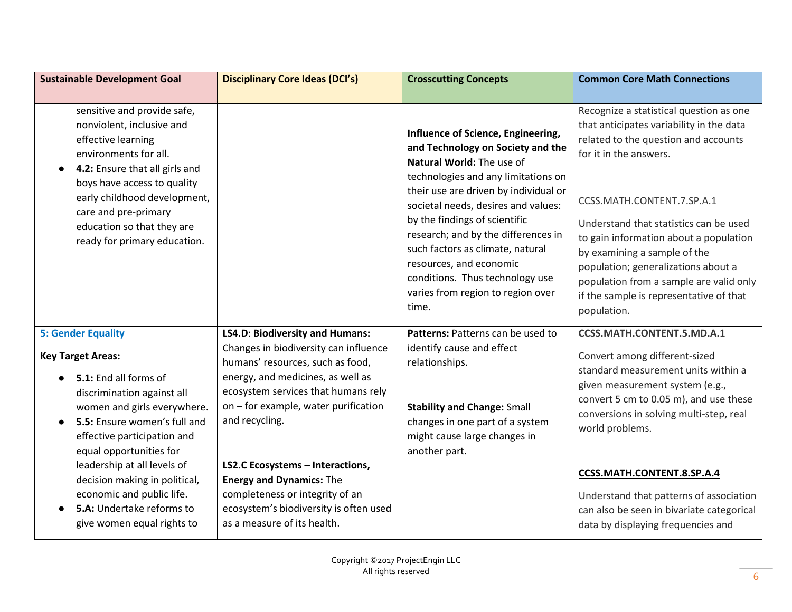| <b>Sustainable Development Goal</b>                                                                                                                                                                                                                                                                                                                                                           | <b>Disciplinary Core Ideas (DCI's)</b>                                                                                                                                                                                                                                                                                                                                                                                                              | <b>Crosscutting Concepts</b>                                                                                                                                                                                                                                                                                                                                                                                                               | <b>Common Core Math Connections</b>                                                                                                                                                                                                                                                                                                                                                                                                  |
|-----------------------------------------------------------------------------------------------------------------------------------------------------------------------------------------------------------------------------------------------------------------------------------------------------------------------------------------------------------------------------------------------|-----------------------------------------------------------------------------------------------------------------------------------------------------------------------------------------------------------------------------------------------------------------------------------------------------------------------------------------------------------------------------------------------------------------------------------------------------|--------------------------------------------------------------------------------------------------------------------------------------------------------------------------------------------------------------------------------------------------------------------------------------------------------------------------------------------------------------------------------------------------------------------------------------------|--------------------------------------------------------------------------------------------------------------------------------------------------------------------------------------------------------------------------------------------------------------------------------------------------------------------------------------------------------------------------------------------------------------------------------------|
| sensitive and provide safe,<br>nonviolent, inclusive and<br>effective learning<br>environments for all.<br>4.2: Ensure that all girls and<br>boys have access to quality<br>early childhood development,<br>care and pre-primary<br>education so that they are<br>ready for primary education.                                                                                                |                                                                                                                                                                                                                                                                                                                                                                                                                                                     | Influence of Science, Engineering,<br>and Technology on Society and the<br>Natural World: The use of<br>technologies and any limitations on<br>their use are driven by individual or<br>societal needs, desires and values:<br>by the findings of scientific<br>research; and by the differences in<br>such factors as climate, natural<br>resources, and economic<br>conditions. Thus technology use<br>varies from region to region over | Recognize a statistical question as one<br>that anticipates variability in the data<br>related to the question and accounts<br>for it in the answers.<br>CCSS.MATH.CONTENT.7.SP.A.1<br>Understand that statistics can be used<br>to gain information about a population<br>by examining a sample of the<br>population; generalizations about a<br>population from a sample are valid only<br>if the sample is representative of that |
| <b>5: Gender Equality</b><br><b>Key Target Areas:</b><br>5.1: End all forms of<br>discrimination against all<br>women and girls everywhere.<br>5.5: Ensure women's full and<br>effective participation and<br>equal opportunities for<br>leadership at all levels of<br>decision making in political,<br>economic and public life.<br>5.A: Undertake reforms to<br>give women equal rights to | <b>LS4.D: Biodiversity and Humans:</b><br>Changes in biodiversity can influence<br>humans' resources, such as food,<br>energy, and medicines, as well as<br>ecosystem services that humans rely<br>on - for example, water purification<br>and recycling.<br><b>LS2.C Ecosystems - Interactions,</b><br><b>Energy and Dynamics: The</b><br>completeness or integrity of an<br>ecosystem's biodiversity is often used<br>as a measure of its health. | time.<br>Patterns: Patterns can be used to<br>identify cause and effect<br>relationships.<br><b>Stability and Change: Small</b><br>changes in one part of a system<br>might cause large changes in<br>another part.                                                                                                                                                                                                                        | population.<br><b>CCSS.MATH.CONTENT.5.MD.A.1</b><br>Convert among different-sized<br>standard measurement units within a<br>given measurement system (e.g.,<br>convert 5 cm to 0.05 m), and use these<br>conversions in solving multi-step, real<br>world problems.<br>CCSS.MATH.CONTENT.8.SP.A.4<br>Understand that patterns of association<br>can also be seen in bivariate categorical<br>data by displaying frequencies and      |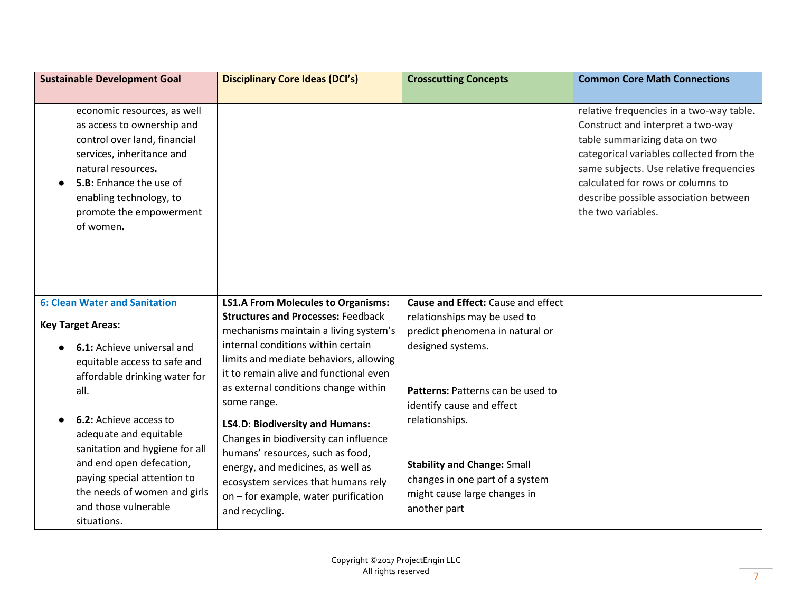| <b>Sustainable Development Goal</b>                                                                                                                                                                                                        | <b>Disciplinary Core Ideas (DCI's)</b>                                                                                                                                                                                                                              | <b>Crosscutting Concepts</b>                                                                                                                           | <b>Common Core Math Connections</b>                                                                                                                                                                                                                                                                       |
|--------------------------------------------------------------------------------------------------------------------------------------------------------------------------------------------------------------------------------------------|---------------------------------------------------------------------------------------------------------------------------------------------------------------------------------------------------------------------------------------------------------------------|--------------------------------------------------------------------------------------------------------------------------------------------------------|-----------------------------------------------------------------------------------------------------------------------------------------------------------------------------------------------------------------------------------------------------------------------------------------------------------|
|                                                                                                                                                                                                                                            |                                                                                                                                                                                                                                                                     |                                                                                                                                                        |                                                                                                                                                                                                                                                                                                           |
| economic resources, as well<br>as access to ownership and<br>control over land, financial<br>services, inheritance and<br>natural resources.<br>5.B: Enhance the use of<br>enabling technology, to<br>promote the empowerment<br>of women. |                                                                                                                                                                                                                                                                     |                                                                                                                                                        | relative frequencies in a two-way table.<br>Construct and interpret a two-way<br>table summarizing data on two<br>categorical variables collected from the<br>same subjects. Use relative frequencies<br>calculated for rows or columns to<br>describe possible association between<br>the two variables. |
| <b>6: Clean Water and Sanitation</b>                                                                                                                                                                                                       | <b>LS1.A From Molecules to Organisms:</b>                                                                                                                                                                                                                           | Cause and Effect: Cause and effect                                                                                                                     |                                                                                                                                                                                                                                                                                                           |
| <b>Key Target Areas:</b><br>6.1: Achieve universal and<br>equitable access to safe and<br>affordable drinking water for<br>all.                                                                                                            | <b>Structures and Processes: Feedback</b><br>mechanisms maintain a living system's<br>internal conditions within certain<br>limits and mediate behaviors, allowing<br>it to remain alive and functional even<br>as external conditions change within<br>some range. | relationships may be used to<br>predict phenomena in natural or<br>designed systems.<br>Patterns: Patterns can be used to<br>identify cause and effect |                                                                                                                                                                                                                                                                                                           |
| <b>6.2:</b> Achieve access to<br>adequate and equitable<br>sanitation and hygiene for all<br>and end open defecation,<br>paying special attention to<br>the needs of women and girls<br>and those vulnerable<br>situations.                | <b>LS4.D: Biodiversity and Humans:</b><br>Changes in biodiversity can influence<br>humans' resources, such as food,<br>energy, and medicines, as well as<br>ecosystem services that humans rely<br>on - for example, water purification<br>and recycling.           | relationships.<br><b>Stability and Change: Small</b><br>changes in one part of a system<br>might cause large changes in<br>another part                |                                                                                                                                                                                                                                                                                                           |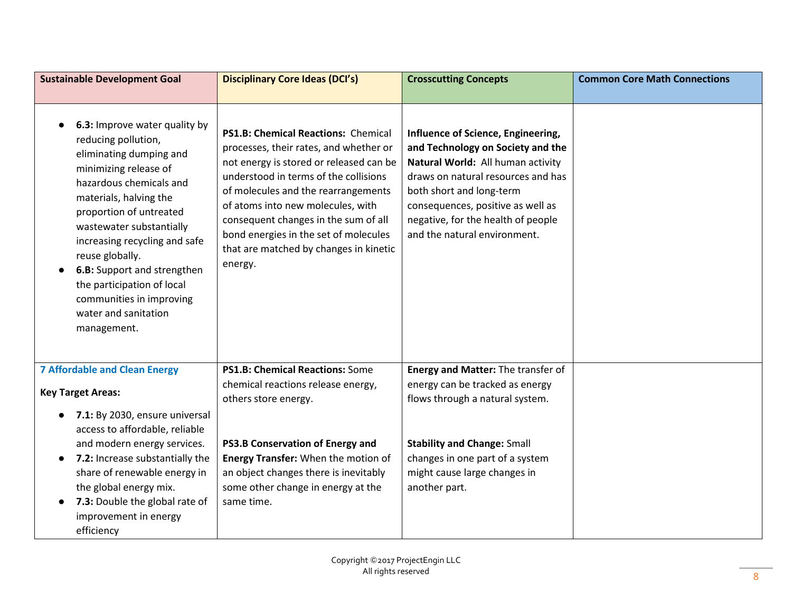| <b>Sustainable Development Goal</b>                                                                                                                                                                                                                                                                                                                                                                      | <b>Disciplinary Core Ideas (DCI's)</b>                                                                                                                                                                                                                                                                                                                                              | <b>Crosscutting Concepts</b>                                                                                                                                                                                                                                                              | <b>Common Core Math Connections</b> |
|----------------------------------------------------------------------------------------------------------------------------------------------------------------------------------------------------------------------------------------------------------------------------------------------------------------------------------------------------------------------------------------------------------|-------------------------------------------------------------------------------------------------------------------------------------------------------------------------------------------------------------------------------------------------------------------------------------------------------------------------------------------------------------------------------------|-------------------------------------------------------------------------------------------------------------------------------------------------------------------------------------------------------------------------------------------------------------------------------------------|-------------------------------------|
| 6.3: Improve water quality by<br>reducing pollution,<br>eliminating dumping and<br>minimizing release of<br>hazardous chemicals and<br>materials, halving the<br>proportion of untreated<br>wastewater substantially<br>increasing recycling and safe<br>reuse globally.<br>6.B: Support and strengthen<br>the participation of local<br>communities in improving<br>water and sanitation<br>management. | PS1.B: Chemical Reactions: Chemical<br>processes, their rates, and whether or<br>not energy is stored or released can be<br>understood in terms of the collisions<br>of molecules and the rearrangements<br>of atoms into new molecules, with<br>consequent changes in the sum of all<br>bond energies in the set of molecules<br>that are matched by changes in kinetic<br>energy. | Influence of Science, Engineering,<br>and Technology on Society and the<br>Natural World: All human activity<br>draws on natural resources and has<br>both short and long-term<br>consequences, positive as well as<br>negative, for the health of people<br>and the natural environment. |                                     |
| <b>7 Affordable and Clean Energy</b><br><b>Key Target Areas:</b><br>7.1: By 2030, ensure universal<br>access to affordable, reliable                                                                                                                                                                                                                                                                     | PS1.B: Chemical Reactions: Some<br>chemical reactions release energy,<br>others store energy.                                                                                                                                                                                                                                                                                       | Energy and Matter: The transfer of<br>energy can be tracked as energy<br>flows through a natural system.                                                                                                                                                                                  |                                     |
| and modern energy services.<br>7.2: Increase substantially the<br>share of renewable energy in<br>the global energy mix.<br>7.3: Double the global rate of<br>improvement in energy<br>efficiency                                                                                                                                                                                                        | PS3.B Conservation of Energy and<br>Energy Transfer: When the motion of<br>an object changes there is inevitably<br>some other change in energy at the<br>same time.                                                                                                                                                                                                                | <b>Stability and Change: Small</b><br>changes in one part of a system<br>might cause large changes in<br>another part.                                                                                                                                                                    |                                     |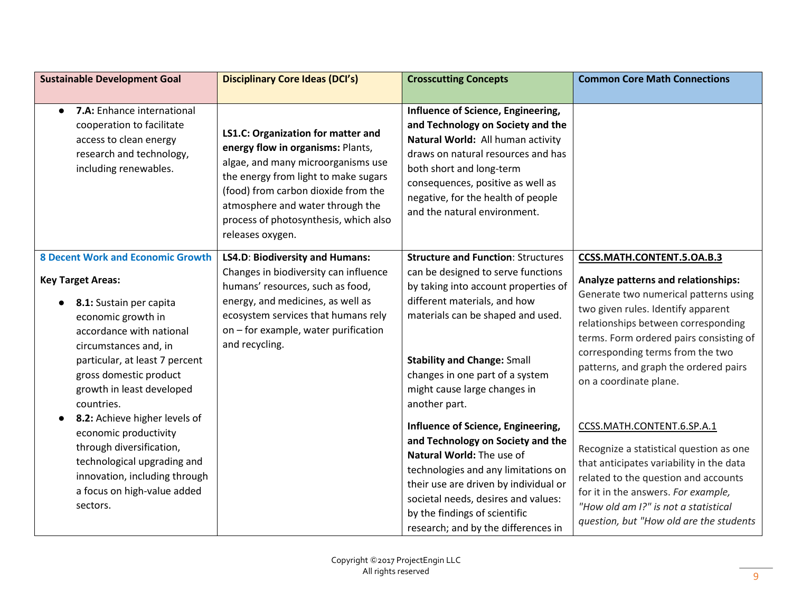| <b>Sustainable Development Goal</b>                                                                                                                                                                                                                                    | <b>Disciplinary Core Ideas (DCI's)</b>                                                                                                                                                                                                                                                        | <b>Crosscutting Concepts</b>                                                                                                                                                                                                                                                                        | <b>Common Core Math Connections</b>                                                                                                                                                                                                                                                                         |
|------------------------------------------------------------------------------------------------------------------------------------------------------------------------------------------------------------------------------------------------------------------------|-----------------------------------------------------------------------------------------------------------------------------------------------------------------------------------------------------------------------------------------------------------------------------------------------|-----------------------------------------------------------------------------------------------------------------------------------------------------------------------------------------------------------------------------------------------------------------------------------------------------|-------------------------------------------------------------------------------------------------------------------------------------------------------------------------------------------------------------------------------------------------------------------------------------------------------------|
| 7.A: Enhance international<br>$\bullet$                                                                                                                                                                                                                                |                                                                                                                                                                                                                                                                                               | Influence of Science, Engineering,                                                                                                                                                                                                                                                                  |                                                                                                                                                                                                                                                                                                             |
| cooperation to facilitate<br>access to clean energy<br>research and technology,<br>including renewables.                                                                                                                                                               | LS1.C: Organization for matter and<br>energy flow in organisms: Plants,<br>algae, and many microorganisms use<br>the energy from light to make sugars<br>(food) from carbon dioxide from the<br>atmosphere and water through the<br>process of photosynthesis, which also<br>releases oxygen. | and Technology on Society and the<br>Natural World: All human activity<br>draws on natural resources and has<br>both short and long-term<br>consequences, positive as well as<br>negative, for the health of people<br>and the natural environment.                                                 |                                                                                                                                                                                                                                                                                                             |
| <b>8 Decent Work and Economic Growth</b>                                                                                                                                                                                                                               | LS4.D: Biodiversity and Humans:                                                                                                                                                                                                                                                               | <b>Structure and Function: Structures</b>                                                                                                                                                                                                                                                           | CCSS.MATH.CONTENT.5.OA.B.3                                                                                                                                                                                                                                                                                  |
| <b>Key Target Areas:</b><br>8.1: Sustain per capita<br>economic growth in<br>accordance with national<br>circumstances and, in<br>particular, at least 7 percent<br>gross domestic product<br>growth in least developed<br>countries.<br>8.2: Achieve higher levels of | Changes in biodiversity can influence<br>humans' resources, such as food,<br>energy, and medicines, as well as<br>ecosystem services that humans rely<br>on - for example, water purification<br>and recycling.                                                                               | can be designed to serve functions<br>by taking into account properties of<br>different materials, and how<br>materials can be shaped and used.<br><b>Stability and Change: Small</b><br>changes in one part of a system<br>might cause large changes in<br>another part.                           | Analyze patterns and relationships:<br>Generate two numerical patterns using<br>two given rules. Identify apparent<br>relationships between corresponding<br>terms. Form ordered pairs consisting of<br>corresponding terms from the two<br>patterns, and graph the ordered pairs<br>on a coordinate plane. |
| economic productivity<br>through diversification,<br>technological upgrading and<br>innovation, including through<br>a focus on high-value added<br>sectors.                                                                                                           |                                                                                                                                                                                                                                                                                               | Influence of Science, Engineering,<br>and Technology on Society and the<br>Natural World: The use of<br>technologies and any limitations on<br>their use are driven by individual or<br>societal needs, desires and values:<br>by the findings of scientific<br>research; and by the differences in | CCSS.MATH.CONTENT.6.SP.A.1<br>Recognize a statistical question as one<br>that anticipates variability in the data<br>related to the question and accounts<br>for it in the answers. For example,<br>"How old am I?" is not a statistical<br>question, but "How old are the students                         |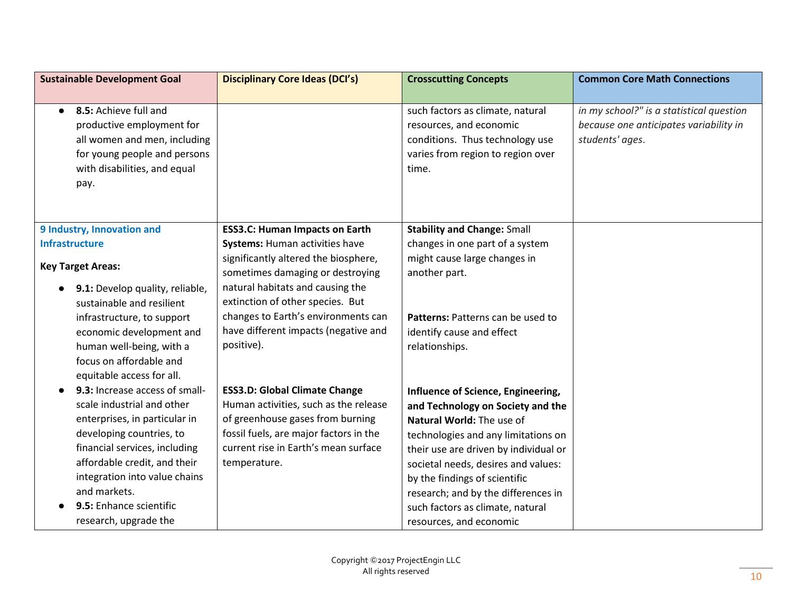| <b>Sustainable Development Goal</b>                                                                                                                                                                                                                                                             | <b>Disciplinary Core Ideas (DCI's)</b>                                                                                                                                                                              | <b>Crosscutting Concepts</b>                                                                                                                                                                                                                                                                                                                                       | <b>Common Core Math Connections</b>                                                                   |
|-------------------------------------------------------------------------------------------------------------------------------------------------------------------------------------------------------------------------------------------------------------------------------------------------|---------------------------------------------------------------------------------------------------------------------------------------------------------------------------------------------------------------------|--------------------------------------------------------------------------------------------------------------------------------------------------------------------------------------------------------------------------------------------------------------------------------------------------------------------------------------------------------------------|-------------------------------------------------------------------------------------------------------|
|                                                                                                                                                                                                                                                                                                 |                                                                                                                                                                                                                     |                                                                                                                                                                                                                                                                                                                                                                    |                                                                                                       |
| 8.5: Achieve full and<br>$\bullet$<br>productive employment for<br>all women and men, including<br>for young people and persons<br>with disabilities, and equal<br>pay.                                                                                                                         |                                                                                                                                                                                                                     | such factors as climate, natural<br>resources, and economic<br>conditions. Thus technology use<br>varies from region to region over<br>time.                                                                                                                                                                                                                       | in my school?" is a statistical question<br>because one anticipates variability in<br>students' ages. |
| 9 Industry, Innovation and                                                                                                                                                                                                                                                                      | <b>ESS3.C: Human Impacts on Earth</b>                                                                                                                                                                               | <b>Stability and Change: Small</b>                                                                                                                                                                                                                                                                                                                                 |                                                                                                       |
| <b>Infrastructure</b>                                                                                                                                                                                                                                                                           | <b>Systems: Human activities have</b>                                                                                                                                                                               | changes in one part of a system                                                                                                                                                                                                                                                                                                                                    |                                                                                                       |
| <b>Key Target Areas:</b>                                                                                                                                                                                                                                                                        | significantly altered the biosphere,                                                                                                                                                                                | might cause large changes in                                                                                                                                                                                                                                                                                                                                       |                                                                                                       |
| 9.1: Develop quality, reliable,<br>sustainable and resilient<br>infrastructure, to support<br>economic development and<br>human well-being, with a<br>focus on affordable and<br>equitable access for all.                                                                                      | sometimes damaging or destroying<br>natural habitats and causing the<br>extinction of other species. But<br>changes to Earth's environments can<br>have different impacts (negative and<br>positive).               | another part.<br>Patterns: Patterns can be used to<br>identify cause and effect<br>relationships.                                                                                                                                                                                                                                                                  |                                                                                                       |
| 9.3: Increase access of small-<br>scale industrial and other<br>enterprises, in particular in<br>developing countries, to<br>financial services, including<br>affordable credit, and their<br>integration into value chains<br>and markets.<br>9.5: Enhance scientific<br>research, upgrade the | <b>ESS3.D: Global Climate Change</b><br>Human activities, such as the release<br>of greenhouse gases from burning<br>fossil fuels, are major factors in the<br>current rise in Earth's mean surface<br>temperature. | Influence of Science, Engineering,<br>and Technology on Society and the<br>Natural World: The use of<br>technologies and any limitations on<br>their use are driven by individual or<br>societal needs, desires and values:<br>by the findings of scientific<br>research; and by the differences in<br>such factors as climate, natural<br>resources, and economic |                                                                                                       |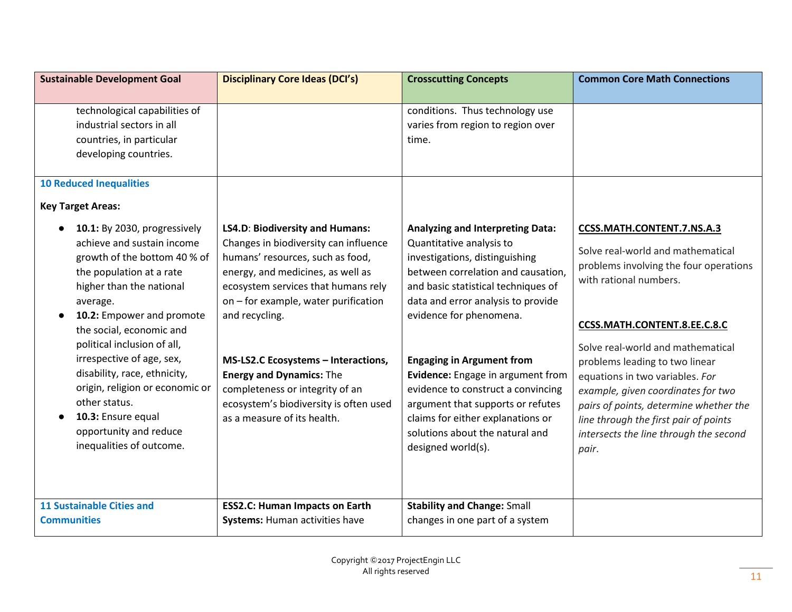| technological capabilities of<br>conditions. Thus technology use<br>industrial sectors in all<br>varies from region to region over<br>countries, in particular<br>time.<br>developing countries.<br><b>10 Reduced Inequalities</b><br><b>Key Target Areas:</b><br>10.1: By 2030, progressively<br>LS4.D: Biodiversity and Humans:<br><b>Analyzing and Interpreting Data:</b><br>CCSS.MATH.CONTENT.7.NS.A.3 |
|------------------------------------------------------------------------------------------------------------------------------------------------------------------------------------------------------------------------------------------------------------------------------------------------------------------------------------------------------------------------------------------------------------|
|                                                                                                                                                                                                                                                                                                                                                                                                            |
|                                                                                                                                                                                                                                                                                                                                                                                                            |
|                                                                                                                                                                                                                                                                                                                                                                                                            |
|                                                                                                                                                                                                                                                                                                                                                                                                            |
|                                                                                                                                                                                                                                                                                                                                                                                                            |
|                                                                                                                                                                                                                                                                                                                                                                                                            |
|                                                                                                                                                                                                                                                                                                                                                                                                            |
|                                                                                                                                                                                                                                                                                                                                                                                                            |
|                                                                                                                                                                                                                                                                                                                                                                                                            |
| achieve and sustain income<br>Changes in biodiversity can influence<br>Quantitative analysis to<br>Solve real-world and mathematical                                                                                                                                                                                                                                                                       |
| growth of the bottom 40 % of<br>humans' resources, such as food,<br>investigations, distinguishing<br>problems involving the four operations                                                                                                                                                                                                                                                               |
| energy, and medicines, as well as<br>between correlation and causation,<br>the population at a rate<br>with rational numbers.                                                                                                                                                                                                                                                                              |
| higher than the national<br>ecosystem services that humans rely<br>and basic statistical techniques of                                                                                                                                                                                                                                                                                                     |
| on - for example, water purification<br>data and error analysis to provide<br>average.                                                                                                                                                                                                                                                                                                                     |
| 10.2: Empower and promote<br>and recycling.<br>evidence for phenomena.<br>CCSS.MATH.CONTENT.8.EE.C.8.C<br>the social, economic and                                                                                                                                                                                                                                                                         |
| political inclusion of all,                                                                                                                                                                                                                                                                                                                                                                                |
| Solve real-world and mathematical<br>irrespective of age, sex,<br>MS-LS2.C Ecosystems - Interactions,<br><b>Engaging in Argument from</b>                                                                                                                                                                                                                                                                  |
| problems leading to two linear<br>disability, race, ethnicity,<br><b>Energy and Dynamics: The</b><br>Evidence: Engage in argument from                                                                                                                                                                                                                                                                     |
| equations in two variables. For<br>origin, religion or economic or<br>completeness or integrity of an<br>evidence to construct a convincing                                                                                                                                                                                                                                                                |
| example, given coordinates for two<br>other status.<br>ecosystem's biodiversity is often used<br>argument that supports or refutes<br>pairs of points, determine whether the                                                                                                                                                                                                                               |
| 10.3: Ensure equal<br>as a measure of its health.<br>claims for either explanations or<br>line through the first pair of points                                                                                                                                                                                                                                                                            |
| opportunity and reduce<br>solutions about the natural and<br>intersects the line through the second                                                                                                                                                                                                                                                                                                        |
| inequalities of outcome.<br>designed world(s).<br>pair.                                                                                                                                                                                                                                                                                                                                                    |
|                                                                                                                                                                                                                                                                                                                                                                                                            |
|                                                                                                                                                                                                                                                                                                                                                                                                            |
| <b>11 Sustainable Cities and</b><br><b>Stability and Change: Small</b><br><b>ESS2.C: Human Impacts on Earth</b>                                                                                                                                                                                                                                                                                            |
| changes in one part of a system<br><b>Communities</b><br><b>Systems: Human activities have</b>                                                                                                                                                                                                                                                                                                             |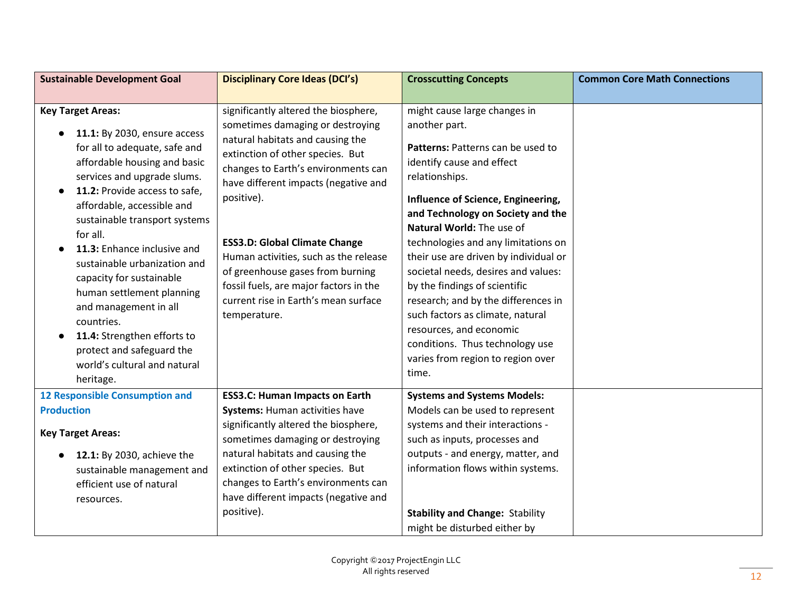| <b>Disciplinary Core Ideas (DCI's)</b>                                                                                                                                                                                                                                                                                                                                                                                                                               | <b>Crosscutting Concepts</b>                                                                                                                                                                                                                                                                                                                                                                                                                                                                                                                                                             | <b>Common Core Math Connections</b>                             |
|----------------------------------------------------------------------------------------------------------------------------------------------------------------------------------------------------------------------------------------------------------------------------------------------------------------------------------------------------------------------------------------------------------------------------------------------------------------------|------------------------------------------------------------------------------------------------------------------------------------------------------------------------------------------------------------------------------------------------------------------------------------------------------------------------------------------------------------------------------------------------------------------------------------------------------------------------------------------------------------------------------------------------------------------------------------------|-----------------------------------------------------------------|
|                                                                                                                                                                                                                                                                                                                                                                                                                                                                      |                                                                                                                                                                                                                                                                                                                                                                                                                                                                                                                                                                                          |                                                                 |
| significantly altered the biosphere,<br>sometimes damaging or destroying<br>natural habitats and causing the<br>extinction of other species. But<br>changes to Earth's environments can<br>have different impacts (negative and<br>positive).<br><b>ESS3.D: Global Climate Change</b><br>Human activities, such as the release<br>of greenhouse gases from burning<br>fossil fuels, are major factors in the<br>current rise in Earth's mean surface<br>temperature. | might cause large changes in<br>another part.<br>Patterns: Patterns can be used to<br>identify cause and effect<br>relationships.<br>Influence of Science, Engineering,<br>and Technology on Society and the<br>Natural World: The use of<br>technologies and any limitations on<br>their use are driven by individual or<br>societal needs, desires and values:<br>by the findings of scientific<br>research; and by the differences in<br>such factors as climate, natural<br>resources, and economic<br>conditions. Thus technology use<br>varies from region to region over<br>time. |                                                                 |
| <b>ESS3.C: Human Impacts on Earth</b>                                                                                                                                                                                                                                                                                                                                                                                                                                | <b>Systems and Systems Models:</b>                                                                                                                                                                                                                                                                                                                                                                                                                                                                                                                                                       |                                                                 |
| significantly altered the biosphere,<br>sometimes damaging or destroying<br>natural habitats and causing the<br>extinction of other species. But<br>changes to Earth's environments can<br>have different impacts (negative and<br>positive).                                                                                                                                                                                                                        | systems and their interactions -<br>such as inputs, processes and<br>outputs - and energy, matter, and<br>information flows within systems.<br><b>Stability and Change: Stability</b>                                                                                                                                                                                                                                                                                                                                                                                                    |                                                                 |
|                                                                                                                                                                                                                                                                                                                                                                                                                                                                      | Systems: Human activities have                                                                                                                                                                                                                                                                                                                                                                                                                                                                                                                                                           | Models can be used to represent<br>might be disturbed either by |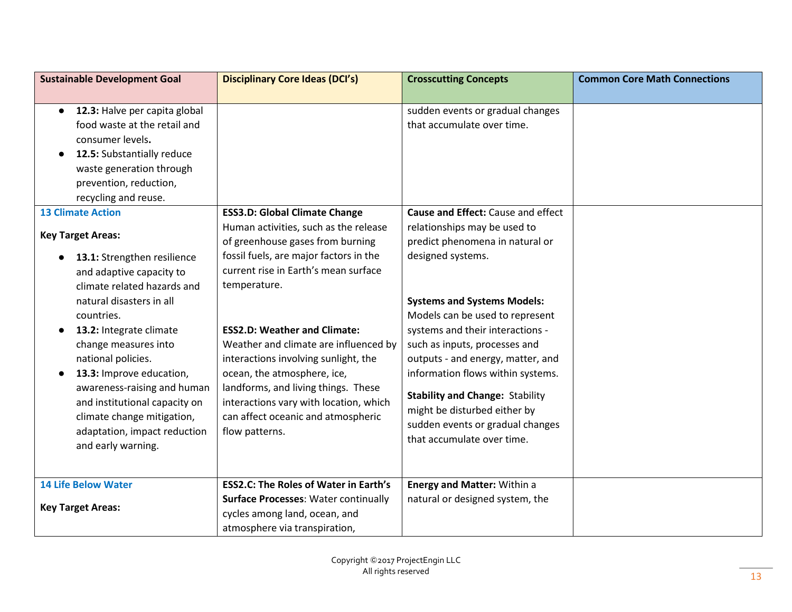| <b>Sustainable Development Goal</b>                                                                                                                                                                                                                                                                                                                                                       | <b>Disciplinary Core Ideas (DCI's)</b>                                                                                                                                                                                                                                                                                                                                                         | <b>Crosscutting Concepts</b>                                                                                                                                                                                                                                                                                                                                                          | <b>Common Core Math Connections</b> |
|-------------------------------------------------------------------------------------------------------------------------------------------------------------------------------------------------------------------------------------------------------------------------------------------------------------------------------------------------------------------------------------------|------------------------------------------------------------------------------------------------------------------------------------------------------------------------------------------------------------------------------------------------------------------------------------------------------------------------------------------------------------------------------------------------|---------------------------------------------------------------------------------------------------------------------------------------------------------------------------------------------------------------------------------------------------------------------------------------------------------------------------------------------------------------------------------------|-------------------------------------|
|                                                                                                                                                                                                                                                                                                                                                                                           |                                                                                                                                                                                                                                                                                                                                                                                                |                                                                                                                                                                                                                                                                                                                                                                                       |                                     |
| 12.3: Halve per capita global<br>$\bullet$<br>food waste at the retail and<br>consumer levels.<br>12.5: Substantially reduce<br>$\bullet$<br>waste generation through<br>prevention, reduction,<br>recycling and reuse.<br><b>13 Climate Action</b>                                                                                                                                       | <b>ESS3.D: Global Climate Change</b>                                                                                                                                                                                                                                                                                                                                                           | sudden events or gradual changes<br>that accumulate over time.<br>Cause and Effect: Cause and effect                                                                                                                                                                                                                                                                                  |                                     |
| <b>Key Target Areas:</b>                                                                                                                                                                                                                                                                                                                                                                  | Human activities, such as the release<br>of greenhouse gases from burning                                                                                                                                                                                                                                                                                                                      | relationships may be used to<br>predict phenomena in natural or                                                                                                                                                                                                                                                                                                                       |                                     |
| 13.1: Strengthen resilience<br>and adaptive capacity to<br>climate related hazards and<br>natural disasters in all<br>countries.<br>13.2: Integrate climate<br>change measures into<br>national policies.<br>13.3: Improve education,<br>awareness-raising and human<br>and institutional capacity on<br>climate change mitigation,<br>adaptation, impact reduction<br>and early warning. | fossil fuels, are major factors in the<br>current rise in Earth's mean surface<br>temperature.<br><b>ESS2.D: Weather and Climate:</b><br>Weather and climate are influenced by<br>interactions involving sunlight, the<br>ocean, the atmosphere, ice,<br>landforms, and living things. These<br>interactions vary with location, which<br>can affect oceanic and atmospheric<br>flow patterns. | designed systems.<br><b>Systems and Systems Models:</b><br>Models can be used to represent<br>systems and their interactions -<br>such as inputs, processes and<br>outputs - and energy, matter, and<br>information flows within systems.<br><b>Stability and Change: Stability</b><br>might be disturbed either by<br>sudden events or gradual changes<br>that accumulate over time. |                                     |
| <b>14 Life Below Water</b><br><b>Key Target Areas:</b>                                                                                                                                                                                                                                                                                                                                    | <b>ESS2.C: The Roles of Water in Earth's</b><br><b>Surface Processes: Water continually</b><br>cycles among land, ocean, and<br>atmosphere via transpiration,                                                                                                                                                                                                                                  | <b>Energy and Matter: Within a</b><br>natural or designed system, the                                                                                                                                                                                                                                                                                                                 |                                     |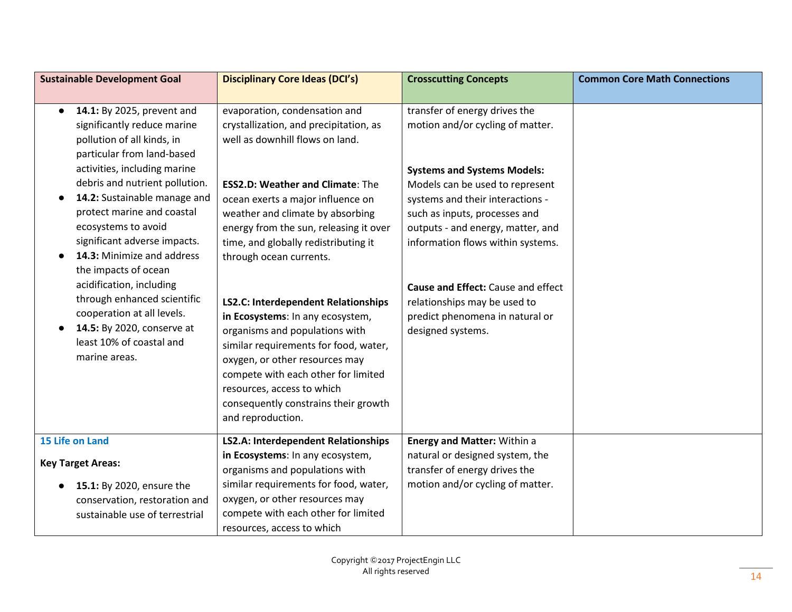| <b>Sustainable Development Goal</b>                                                                                                                                                                                                                                                                                                                                                                                                                                                                                                                 | <b>Disciplinary Core Ideas (DCI's)</b>                                                                                                                                                                                                                                                                                                                                                                                                                                                                                                                                                                                                                                       | <b>Crosscutting Concepts</b>                                                                                                                                                                                                                                                                                                                                                                                            | <b>Common Core Math Connections</b> |
|-----------------------------------------------------------------------------------------------------------------------------------------------------------------------------------------------------------------------------------------------------------------------------------------------------------------------------------------------------------------------------------------------------------------------------------------------------------------------------------------------------------------------------------------------------|------------------------------------------------------------------------------------------------------------------------------------------------------------------------------------------------------------------------------------------------------------------------------------------------------------------------------------------------------------------------------------------------------------------------------------------------------------------------------------------------------------------------------------------------------------------------------------------------------------------------------------------------------------------------------|-------------------------------------------------------------------------------------------------------------------------------------------------------------------------------------------------------------------------------------------------------------------------------------------------------------------------------------------------------------------------------------------------------------------------|-------------------------------------|
|                                                                                                                                                                                                                                                                                                                                                                                                                                                                                                                                                     |                                                                                                                                                                                                                                                                                                                                                                                                                                                                                                                                                                                                                                                                              |                                                                                                                                                                                                                                                                                                                                                                                                                         |                                     |
| 14.1: By 2025, prevent and<br>$\bullet$<br>significantly reduce marine<br>pollution of all kinds, in<br>particular from land-based<br>activities, including marine<br>debris and nutrient pollution.<br>14.2: Sustainable manage and<br>protect marine and coastal<br>ecosystems to avoid<br>significant adverse impacts.<br>14.3: Minimize and address<br>the impacts of ocean<br>acidification, including<br>through enhanced scientific<br>cooperation at all levels.<br>14.5: By 2020, conserve at<br>least 10% of coastal and<br>marine areas. | evaporation, condensation and<br>crystallization, and precipitation, as<br>well as downhill flows on land.<br><b>ESS2.D: Weather and Climate: The</b><br>ocean exerts a major influence on<br>weather and climate by absorbing<br>energy from the sun, releasing it over<br>time, and globally redistributing it<br>through ocean currents.<br><b>LS2.C: Interdependent Relationships</b><br>in Ecosystems: In any ecosystem,<br>organisms and populations with<br>similar requirements for food, water,<br>oxygen, or other resources may<br>compete with each other for limited<br>resources, access to which<br>consequently constrains their growth<br>and reproduction. | transfer of energy drives the<br>motion and/or cycling of matter.<br><b>Systems and Systems Models:</b><br>Models can be used to represent<br>systems and their interactions -<br>such as inputs, processes and<br>outputs - and energy, matter, and<br>information flows within systems.<br>Cause and Effect: Cause and effect<br>relationships may be used to<br>predict phenomena in natural or<br>designed systems. |                                     |
| <b>15 Life on Land</b>                                                                                                                                                                                                                                                                                                                                                                                                                                                                                                                              | LS2.A: Interdependent Relationships                                                                                                                                                                                                                                                                                                                                                                                                                                                                                                                                                                                                                                          | <b>Energy and Matter: Within a</b>                                                                                                                                                                                                                                                                                                                                                                                      |                                     |
| <b>Key Target Areas:</b>                                                                                                                                                                                                                                                                                                                                                                                                                                                                                                                            | in Ecosystems: In any ecosystem,<br>organisms and populations with                                                                                                                                                                                                                                                                                                                                                                                                                                                                                                                                                                                                           | natural or designed system, the<br>transfer of energy drives the                                                                                                                                                                                                                                                                                                                                                        |                                     |
| 15.1: By 2020, ensure the<br>conservation, restoration and<br>sustainable use of terrestrial                                                                                                                                                                                                                                                                                                                                                                                                                                                        | similar requirements for food, water,<br>oxygen, or other resources may<br>compete with each other for limited<br>resources, access to which                                                                                                                                                                                                                                                                                                                                                                                                                                                                                                                                 | motion and/or cycling of matter.                                                                                                                                                                                                                                                                                                                                                                                        |                                     |